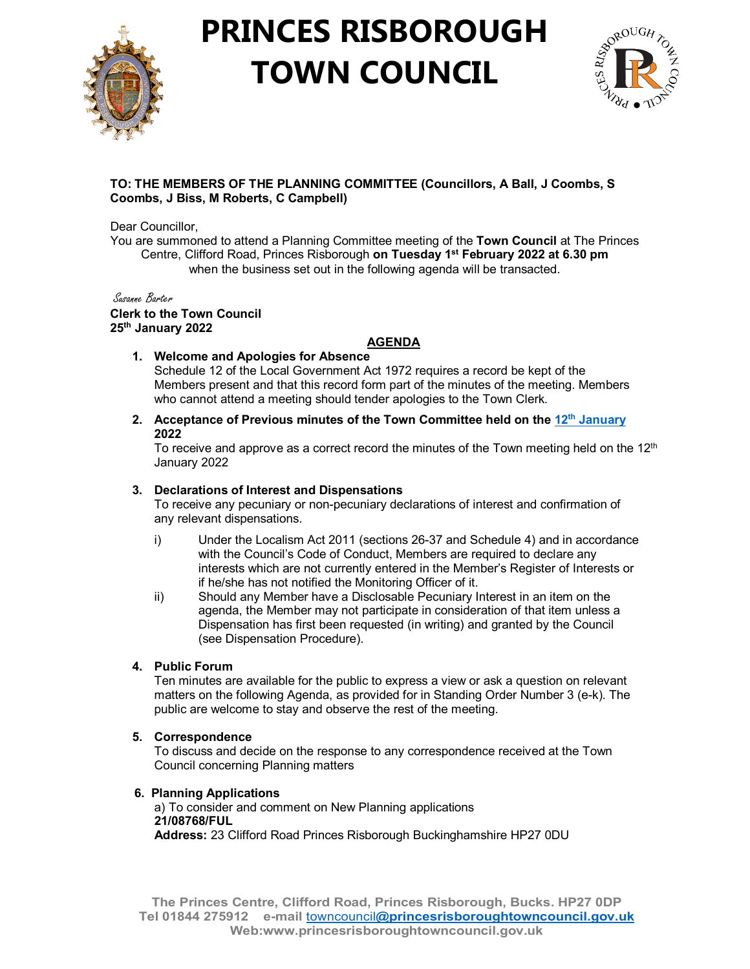

## **PRINCES RISBOROUGH TOWN COUNCIL**



## **TO: THE MEMBERS OF THE PLANNING COMMITTEE (Councillors, A Ball, J Coombs, S Coombs, J Biss, M Roberts, C Campbell)**

Dear Councillor,

You are summoned to attend a Planning Committee meeting of the **Town Council** at The Princes Centre, Clifford Road, Princes Risborough **on Tuesday 1st February 2022 at 6.30 pm** when the business set out in the following agenda will be transacted.

Susanne Barter **Clerk to the Town Council 25th January 2022**

## **AGENDA**

**1. Welcome and Apologies for Absence** 

Schedule 12 of the Local Government Act 1972 requires a record be kept of the Members present and that this record form part of the minutes of the meeting. Members who cannot attend a meeting should tender apologies to the Town Clerk.

**2. Acceptance of Previous minutes of the Town Committee held on the 12th [January](http://www.princesrisboroughtowncouncil.gov.uk/_UserFiles/Files/_Minutes/137503-Planning_Mins_12th_January_2022.pdf) 2022**

To receive and approve as a correct record the minutes of the Town meeting held on the  $12<sup>th</sup>$ January 2022

## **3. Declarations of Interest and Dispensations**

To receive any pecuniary or non-pecuniary declarations of interest and confirmation of any relevant dispensations.

- i) Under the Localism Act 2011 (sections 26-37 and Schedule 4) and in accordance with the Council's Code of Conduct, Members are required to declare any interests which are not currently entered in the Member's Register of Interests or if he/she has not notified the Monitoring Officer of it.
- ii) Should any Member have a Disclosable Pecuniary Interest in an item on the agenda, the Member may not participate in consideration of that item unless a Dispensation has first been requested (in writing) and granted by the Council (see Dispensation Procedure).

## **4. Public Forum**

Ten minutes are available for the public to express a view or ask a question on relevant matters on the following Agenda, as provided for in Standing Order Number 3 (e-k). The public are welcome to stay and observe the rest of the meeting.

#### **5. Correspondence**

To discuss and decide on the response to any correspondence received at the Town Council concerning Planning matters

#### **6. Planning Applications**

 a) To consider and comment on New Planning applications **21/08768/FUL Address:** 23 Clifford Road Princes Risborough Buckinghamshire HP27 0DU